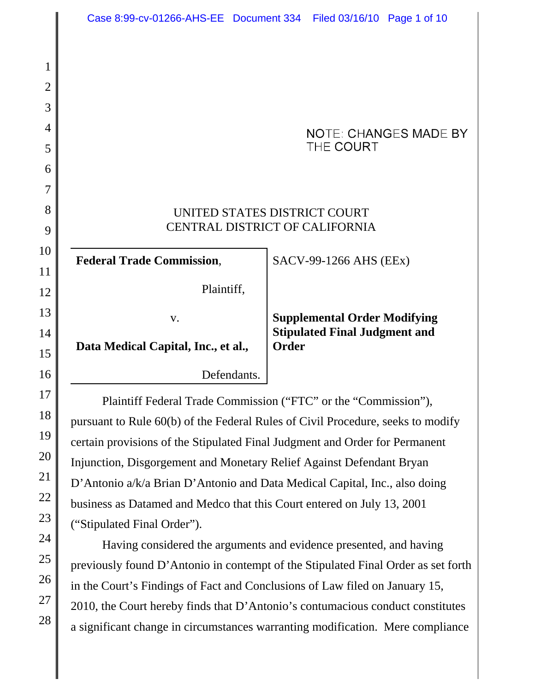UNITED STATES DISTRICT COURT CENTRAL DISTRICT OF CALIFORNIA

**Federal Trade Commission**,

Plaintiff,

v.

SACV-99-1266 AHS (EEx)

THE COURT

**Supplemental Order Modifying Stipulated Final Judgment and Order**

**NOTE: CHANGES MADE BY** 

**Data Medical Capital, Inc., et al.,**

Defendants.

Plaintiff Federal Trade Commission ("FTC" or the "Commission"), pursuant to Rule 60(b) of the Federal Rules of Civil Procedure, seeks to modify certain provisions of the Stipulated Final Judgment and Order for Permanent Injunction, Disgorgement and Monetary Relief Against Defendant Bryan D'Antonio a/k/a Brian D'Antonio and Data Medical Capital, Inc., also doing business as Datamed and Medco that this Court entered on July 13, 2001 ("Stipulated Final Order").

Having considered the arguments and evidence presented, and having previously found D'Antonio in contempt of the Stipulated Final Order as set forth in the Court's Findings of Fact and Conclusions of Law filed on January 15, 2010, the Court hereby finds that D'Antonio's contumacious conduct constitutes a significant change in circumstances warranting modification. Mere compliance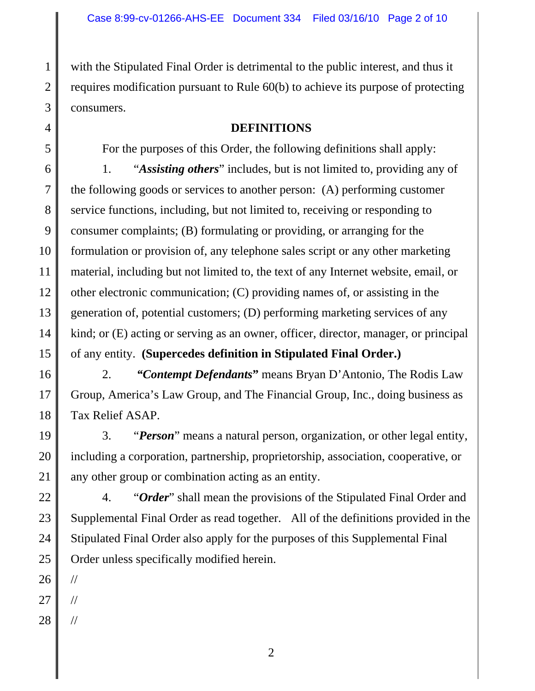with the Stipulated Final Order is detrimental to the public interest, and thus it requires modification pursuant to Rule 60(b) to achieve its purpose of protecting consumers.

# **DEFINITIONS**

For the purposes of this Order, the following definitions shall apply:

1. "*Assisting others*" includes, but is not limited to, providing any of the following goods or services to another person: (A) performing customer service functions, including, but not limited to, receiving or responding to consumer complaints; (B) formulating or providing, or arranging for the formulation or provision of, any telephone sales script or any other marketing material, including but not limited to, the text of any Internet website, email, or other electronic communication; (C) providing names of, or assisting in the generation of, potential customers; (D) performing marketing services of any kind; or (E) acting or serving as an owner, officer, director, manager, or principal of any entity. **(Supercedes definition in Stipulated Final Order.)**

2. *"Contempt Defendants***"** means Bryan D'Antonio, The Rodis Law Group, America's Law Group, and The Financial Group, Inc., doing business as Tax Relief ASAP.

3. "*Person*" means a natural person, organization, or other legal entity, including a corporation, partnership, proprietorship, association, cooperative, or any other group or combination acting as an entity.

24 25 4. "*Order*" shall mean the provisions of the Stipulated Final Order and Supplemental Final Order as read together. All of the definitions provided in the Stipulated Final Order also apply for the purposes of this Supplemental Final Order unless specifically modified herein.

26

//

//

//

1

2

3

4

5

6

7

8

9

10

11

12

13

14

15

16

17

18

19

20

21

22

23

27

28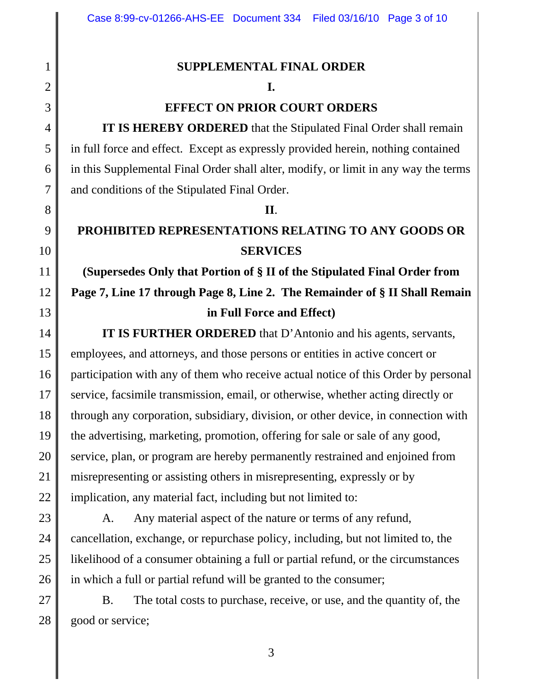# **SUPPLEMENTAL FINAL ORDER**

1

2

3

4

5

6

7

8

9

10

11

12

13

14

15

16

17

18

19

20

21

22

23

## **I.**

# **EFFECT ON PRIOR COURT ORDERS**

**IT IS HEREBY ORDERED** that the Stipulated Final Order shall remain in full force and effect. Except as expressly provided herein, nothing contained in this Supplemental Final Order shall alter, modify, or limit in any way the terms and conditions of the Stipulated Final Order.

#### **II**.

# **PROHIBITED REPRESENTATIONS RELATING TO ANY GOODS OR SERVICES**

# **(Supersedes Only that Portion of § II of the Stipulated Final Order from Page 7, Line 17 through Page 8, Line 2. The Remainder of § II Shall Remain in Full Force and Effect)**

**IT IS FURTHER ORDERED** that D'Antonio and his agents, servants, employees, and attorneys, and those persons or entities in active concert or participation with any of them who receive actual notice of this Order by personal service, facsimile transmission, email, or otherwise, whether acting directly or through any corporation, subsidiary, division, or other device, in connection with the advertising, marketing, promotion, offering for sale or sale of any good, service, plan, or program are hereby permanently restrained and enjoined from misrepresenting or assisting others in misrepresenting, expressly or by implication, any material fact, including but not limited to:

24 25 26 A. Any material aspect of the nature or terms of any refund, cancellation, exchange, or repurchase policy, including, but not limited to, the likelihood of a consumer obtaining a full or partial refund, or the circumstances in which a full or partial refund will be granted to the consumer;

27 28 B. The total costs to purchase, receive, or use, and the quantity of, the good or service;

3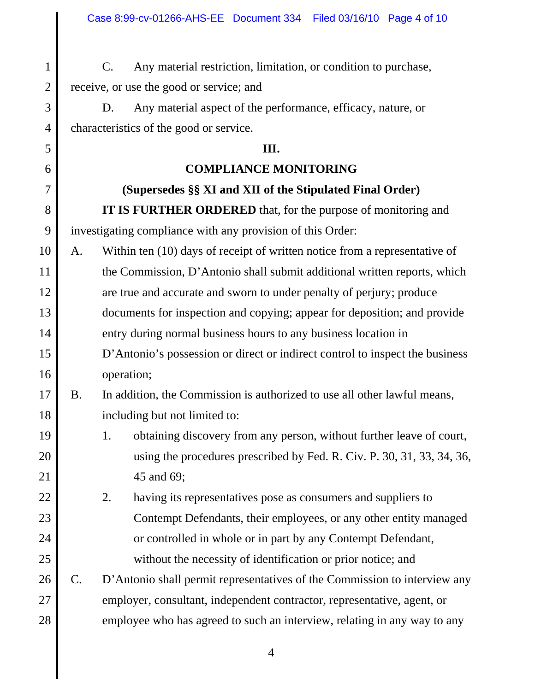1 2 C. Any material restriction, limitation, or condition to purchase, receive, or use the good or service; and

D. Any material aspect of the performance, efficacy, nature, or characteristics of the good or service.

3

4

5

6

7

8

9

19

20

21

22

23

24

25

## **III.**

# **COMPLIANCE MONITORING**

# **(Supersedes §§ XI and XII of the Stipulated Final Order) IT IS FURTHER ORDERED** that, for the purpose of monitoring and investigating compliance with any provision of this Order:

10 11 12 13 14 15 16 A. Within ten (10) days of receipt of written notice from a representative of the Commission, D'Antonio shall submit additional written reports, which are true and accurate and sworn to under penalty of perjury; produce documents for inspection and copying; appear for deposition; and provide entry during normal business hours to any business location in D'Antonio's possession or direct or indirect control to inspect the business operation;

#### 17 18 B. In addition, the Commission is authorized to use all other lawful means, including but not limited to:

- 1. obtaining discovery from any person, without further leave of court, using the procedures prescribed by Fed. R. Civ. P. 30, 31, 33, 34, 36, 45 and 69;
- 2. having its representatives pose as consumers and suppliers to Contempt Defendants, their employees, or any other entity managed or controlled in whole or in part by any Contempt Defendant, without the necessity of identification or prior notice; and
- 26 27 28 C. D'Antonio shall permit representatives of the Commission to interview any employer, consultant, independent contractor, representative, agent, or employee who has agreed to such an interview, relating in any way to any

4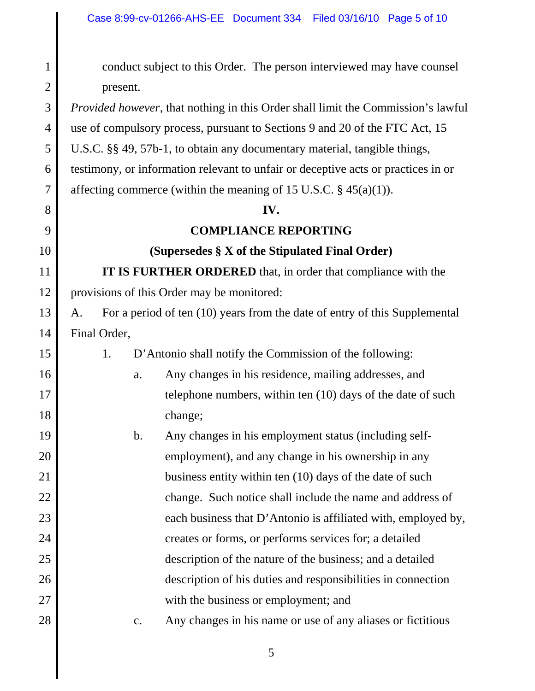1 2 3 4 5 6 7 8 9 10 11 12 13 14 15 16 17 18 19 20 21 22 23 24 25 26 27 28 conduct subject to this Order. The person interviewed may have counsel present. *Provided however*, that nothing in this Order shall limit the Commission's lawful use of compulsory process, pursuant to Sections 9 and 20 of the FTC Act, 15 U.S.C. §§ 49, 57b-1, to obtain any documentary material, tangible things, testimony, or information relevant to unfair or deceptive acts or practices in or affecting commerce (within the meaning of 15 U.S.C.  $\S$  45(a)(1)). **IV. COMPLIANCE REPORTING (Supersedes § X of the Stipulated Final Order) IT IS FURTHER ORDERED** that, in order that compliance with the provisions of this Order may be monitored: A. For a period of ten (10) years from the date of entry of this Supplemental Final Order, 1. D'Antonio shall notify the Commission of the following: a. Any changes in his residence, mailing addresses, and telephone numbers, within ten (10) days of the date of such change; b. Any changes in his employment status (including selfemployment), and any change in his ownership in any business entity within ten (10) days of the date of such change. Such notice shall include the name and address of each business that D'Antonio is affiliated with, employed by, creates or forms, or performs services for; a detailed description of the nature of the business; and a detailed description of his duties and responsibilities in connection with the business or employment; and c. Any changes in his name or use of any aliases or fictitious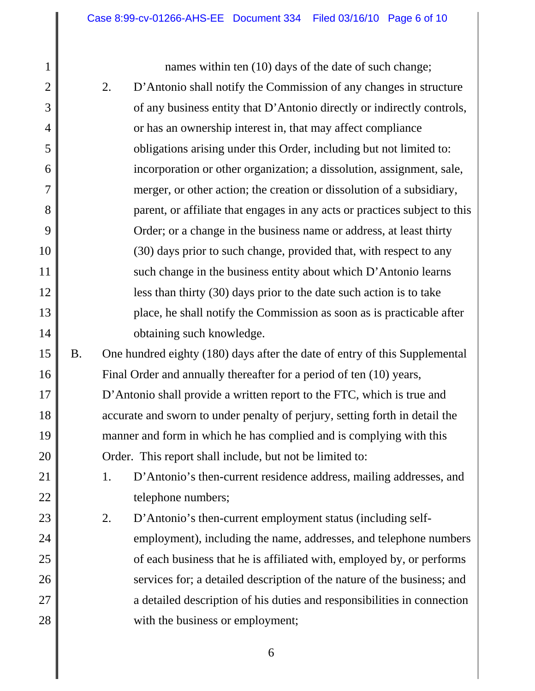1

2

3

4

5

6

7

8

9

10

11

12

13

14

21

22

names within ten (10) days of the date of such change;

- 2. D'Antonio shall notify the Commission of any changes in structure of any business entity that D'Antonio directly or indirectly controls, or has an ownership interest in, that may affect compliance obligations arising under this Order, including but not limited to: incorporation or other organization; a dissolution, assignment, sale, merger, or other action; the creation or dissolution of a subsidiary, parent, or affiliate that engages in any acts or practices subject to this Order; or a change in the business name or address, at least thirty (30) days prior to such change, provided that, with respect to any such change in the business entity about which D'Antonio learns less than thirty (30) days prior to the date such action is to take place, he shall notify the Commission as soon as is practicable after obtaining such knowledge.
- 15 16 17 18 19 20 B. One hundred eighty (180) days after the date of entry of this Supplemental Final Order and annually thereafter for a period of ten (10) years, D'Antonio shall provide a written report to the FTC, which is true and accurate and sworn to under penalty of perjury, setting forth in detail the manner and form in which he has complied and is complying with this Order. This report shall include, but not be limited to:
	- 1. D'Antonio's then-current residence address, mailing addresses, and telephone numbers;
- 23 24 25 26 27 28 2. D'Antonio's then-current employment status (including selfemployment), including the name, addresses, and telephone numbers of each business that he is affiliated with, employed by, or performs services for; a detailed description of the nature of the business; and a detailed description of his duties and responsibilities in connection with the business or employment;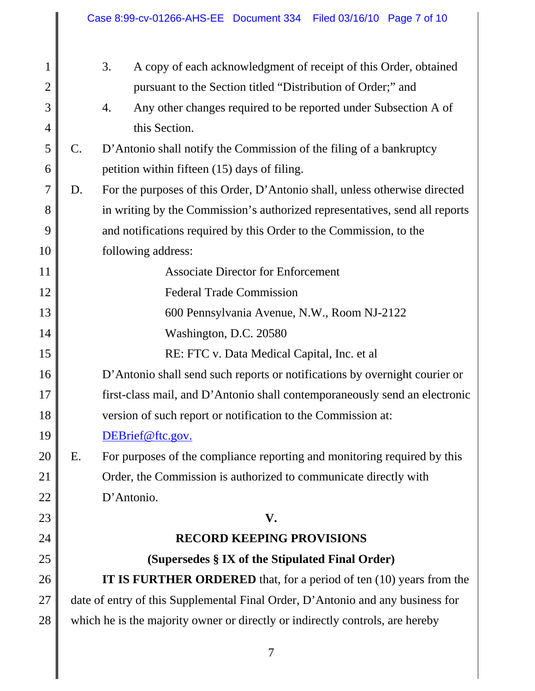|                 | 3.<br>A copy of each acknowledgment of receipt of this Order, obtained         |
|-----------------|--------------------------------------------------------------------------------|
|                 |                                                                                |
|                 | pursuant to the Section titled "Distribution of Order;" and                    |
|                 | 4.<br>Any other changes required to be reported under Subsection A of          |
|                 | this Section.                                                                  |
| $\mathcal{C}$ . | D'Antonio shall notify the Commission of the filing of a bankruptcy            |
|                 | petition within fifteen (15) days of filing.                                   |
| D.              | For the purposes of this Order, D'Antonio shall, unless otherwise directed     |
|                 | in writing by the Commission's authorized representatives, send all reports    |
|                 | and notifications required by this Order to the Commission, to the             |
|                 | following address:                                                             |
|                 | <b>Associate Director for Enforcement</b>                                      |
|                 | <b>Federal Trade Commission</b>                                                |
|                 | 600 Pennsylvania Avenue, N.W., Room NJ-2122                                    |
|                 | Washington, D.C. 20580                                                         |
|                 | RE: FTC v. Data Medical Capital, Inc. et al                                    |
|                 | D'Antonio shall send such reports or notifications by overnight courier or     |
|                 | first-class mail, and D'Antonio shall contemporaneously send an electronic     |
|                 | version of such report or notification to the Commission at:                   |
|                 | DEBrief@ftc.gov.                                                               |
| Ε.              | For purposes of the compliance reporting and monitoring required by this       |
|                 | Order, the Commission is authorized to communicate directly with               |
|                 | D'Antonio.                                                                     |
|                 | V.                                                                             |
|                 | <b>RECORD KEEPING PROVISIONS</b>                                               |
|                 | (Supersedes § IX of the Stipulated Final Order)                                |
|                 | <b>IT IS FURTHER ORDERED</b> that, for a period of ten (10) years from the     |
|                 | date of entry of this Supplemental Final Order, D'Antonio and any business for |
|                 |                                                                                |
|                 |                                                                                |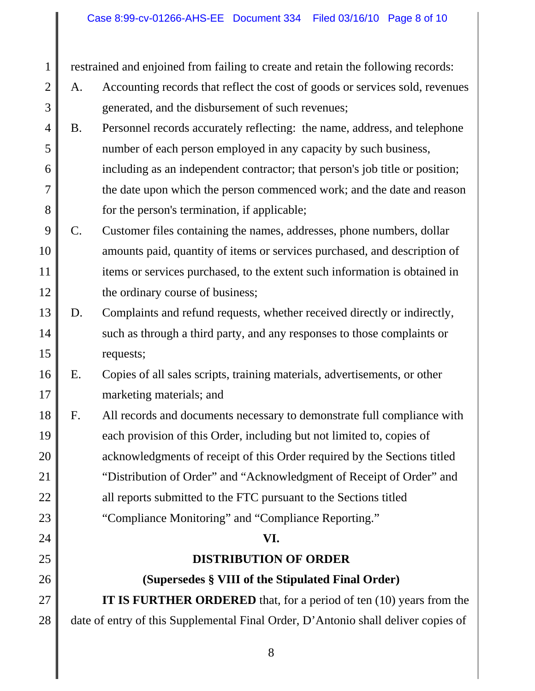restrained and enjoined from failing to create and retain the following records:

1

2

3

24

25

26

- A. Accounting records that reflect the cost of goods or services sold, revenues generated, and the disbursement of such revenues;
- 4 5 6 7 8 B. Personnel records accurately reflecting: the name, address, and telephone number of each person employed in any capacity by such business, including as an independent contractor; that person's job title or position; the date upon which the person commenced work; and the date and reason for the person's termination, if applicable;
- 9 10 11 12 C. Customer files containing the names, addresses, phone numbers, dollar amounts paid, quantity of items or services purchased, and description of items or services purchased, to the extent such information is obtained in the ordinary course of business;
- 13 14 15 D. Complaints and refund requests, whether received directly or indirectly, such as through a third party, and any responses to those complaints or requests;
- 16 17 E. Copies of all sales scripts, training materials, advertisements, or other marketing materials; and
- 18 19 20 21 22 23 F. All records and documents necessary to demonstrate full compliance with each provision of this Order, including but not limited to, copies of acknowledgments of receipt of this Order required by the Sections titled "Distribution of Order" and "Acknowledgment of Receipt of Order" and all reports submitted to the FTC pursuant to the Sections titled "Compliance Monitoring" and "Compliance Reporting."

## **VI.**

## **DISTRIBUTION OF ORDER**

**(Supersedes § VIII of the Stipulated Final Order)**

27 28 **IT IS FURTHER ORDERED** that, for a period of ten (10) years from the date of entry of this Supplemental Final Order, D'Antonio shall deliver copies of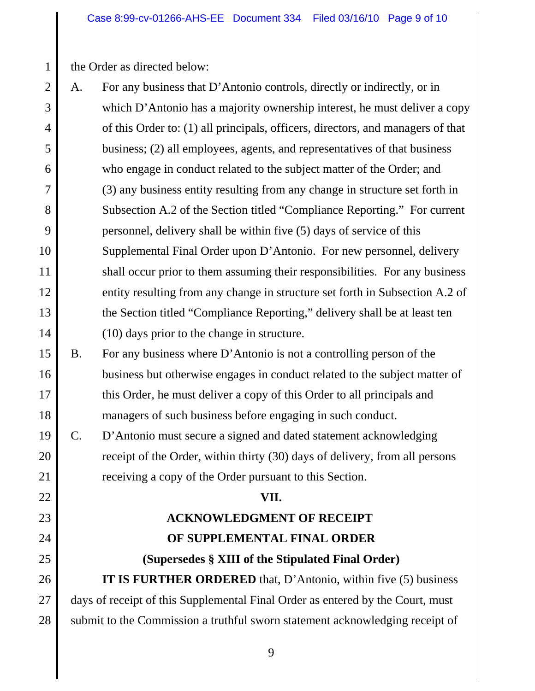the Order as directed below:

1

19

20

21

22

23

24

25

26

27

28

- 2 3 4 5 6 7 8 9 10 11 12 13 14 A. For any business that D'Antonio controls, directly or indirectly, or in which D'Antonio has a majority ownership interest, he must deliver a copy of this Order to: (1) all principals, officers, directors, and managers of that business; (2) all employees, agents, and representatives of that business who engage in conduct related to the subject matter of the Order; and (3) any business entity resulting from any change in structure set forth in Subsection A.2 of the Section titled "Compliance Reporting." For current personnel, delivery shall be within five (5) days of service of this Supplemental Final Order upon D'Antonio. For new personnel, delivery shall occur prior to them assuming their responsibilities. For any business entity resulting from any change in structure set forth in Subsection A.2 of the Section titled "Compliance Reporting," delivery shall be at least ten (10) days prior to the change in structure.
- 15 16 17 18 B. For any business where D'Antonio is not a controlling person of the business but otherwise engages in conduct related to the subject matter of this Order, he must deliver a copy of this Order to all principals and managers of such business before engaging in such conduct.
	- C. D'Antonio must secure a signed and dated statement acknowledging receipt of the Order, within thirty (30) days of delivery, from all persons receiving a copy of the Order pursuant to this Section.

### **VII.**

# **ACKNOWLEDGMENT OF RECEIPT OF SUPPLEMENTAL FINAL ORDER (Supersedes § XIII of the Stipulated Final Order)**

**IT IS FURTHER ORDERED** that, D'Antonio, within five (5) business days of receipt of this Supplemental Final Order as entered by the Court, must submit to the Commission a truthful sworn statement acknowledging receipt of